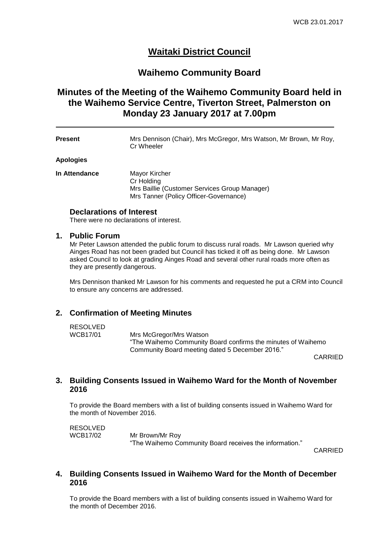# **Waitaki District Council**

# **Waihemo Community Board**

# **Minutes of the Meeting of the Waihemo Community Board held in the Waihemo Service Centre, Tiverton Street, Palmerston on Monday 23 January 2017 at 7.00pm**

**Present** Mrs Dennison (Chair), Mrs McGregor, Mrs Watson, Mr Brown, Mr Roy, Cr Wheeler

#### **Apologies**

**In Attendance** Mayor Kircher Cr Holding Mrs Baillie (Customer Services Group Manager) Mrs Tanner (Policy Officer-Governance)

### **Declarations of Interest**

There were no declarations of interest.

### **1. Public Forum**

Mr Peter Lawson attended the public forum to discuss rural roads. Mr Lawson queried why Ainges Road has not been graded but Council has ticked it off as being done. Mr Lawson asked Council to look at grading Ainges Road and several other rural roads more often as they are presently dangerous.

Mrs Dennison thanked Mr Lawson for his comments and requested he put a CRM into Council to ensure any concerns are addressed.

### **2. Confirmation of Meeting Minutes**

RESOLVED<br>WCB17/01

Mrs McGregor/Mrs Watson "The Waihemo Community Board confirms the minutes of Waihemo Community Board meeting dated 5 December 2016."

CARRIED

### **3. Building Consents Issued in Waihemo Ward for the Month of November 2016**

To provide the Board members with a list of building consents issued in Waihemo Ward for the month of November 2016.

RESOLVED WCB17/02 Mr Brown/Mr Roy "The Waihemo Community Board receives the information."

CARRIED

### **4. Building Consents Issued in Waihemo Ward for the Month of December 2016**

To provide the Board members with a list of building consents issued in Waihemo Ward for the month of December 2016.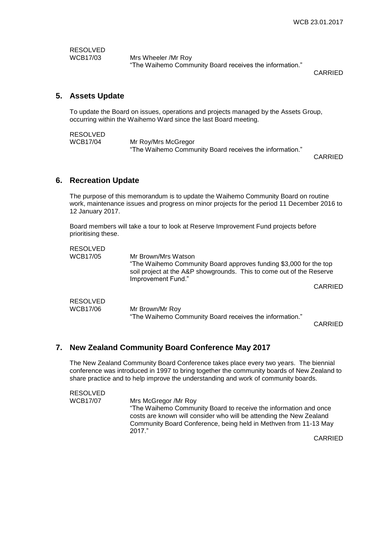RESOLVED<br>WCB17/03

Mrs Wheeler /Mr Roy "The Waihemo Community Board receives the information."

CARRIED

## **5. Assets Update**

To update the Board on issues, operations and projects managed by the Assets Group, occurring within the Waihemo Ward since the last Board meeting.

RESOLVED<br>WCB17/04 Mr Roy/Mrs McGregor "The Waihemo Community Board receives the information."

CARRIED

### **6. Recreation Update**

The purpose of this memorandum is to update the Waihemo Community Board on routine work, maintenance issues and progress on minor projects for the period 11 December 2016 to 12 January 2017.

Board members will take a tour to look at Reserve Improvement Fund projects before prioritising these.

| <b>RESOLVED</b><br><b>WCB17/05</b> | Mr Brown/Mrs Watson<br>"The Waihemo Community Board approves funding \$3,000 for the top<br>soil project at the A&P showgrounds. This to come out of the Reserve<br>Improvement Fund." |         |
|------------------------------------|----------------------------------------------------------------------------------------------------------------------------------------------------------------------------------------|---------|
|                                    |                                                                                                                                                                                        | CARRIED |
| <b>RESOLVED</b><br><b>WCB17/06</b> | Mr Brown/Mr Roy<br>"The Waihemo Community Board receives the information."                                                                                                             | CARRIED |

## **7. New Zealand Community Board Conference May 2017**

The New Zealand Community Board Conference takes place every two years. The biennial conference was introduced in 1997 to bring together the community boards of New Zealand to share practice and to help improve the understanding and work of community boards.

| RESOLVED |                                                                                                                                                                                                                       |
|----------|-----------------------------------------------------------------------------------------------------------------------------------------------------------------------------------------------------------------------|
| WCB17/07 | Mrs McGregor /Mr Roy                                                                                                                                                                                                  |
|          | "The Waihemo Community Board to receive the information and once<br>costs are known will consider who will be attending the New Zealand<br>Community Board Conference, being held in Methven from 11-13 May<br>2017." |

CARRIED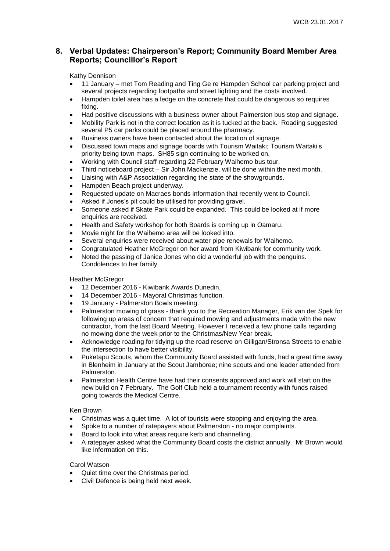## **8. Verbal Updates: Chairperson's Report; Community Board Member Area Reports; Councillor's Report**

### Kathy Dennison

- 11 January met Tom Reading and Ting Ge re Hampden School car parking project and several projects regarding footpaths and street lighting and the costs involved.
- Hampden toilet area has a ledge on the concrete that could be dangerous so requires fixing.
- Had positive discussions with a business owner about Palmerston bus stop and signage.
- Mobility Park is not in the correct location as it is tucked at the back. Roading suggested several P5 car parks could be placed around the pharmacy.
- Business owners have been contacted about the location of signage.
- Discussed town maps and signage boards with Tourism Waitaki; Tourism Waitaki's priority being town maps. SH85 sign continuing to be worked on.
- Working with Council staff regarding 22 February Waihemo bus tour.
- Third noticeboard project Sir John Mackenzie, will be done within the next month.
- Liaising with A&P Association regarding the state of the showgrounds.
- Hampden Beach project underway.
- Requested update on Macraes bonds information that recently went to Council.
- Asked if Jones's pit could be utilised for providing gravel.
- Someone asked if Skate Park could be expanded. This could be looked at if more enquiries are received.
- Health and Safety workshop for both Boards is coming up in Oamaru.
- Movie night for the Waihemo area will be looked into.
- Several enquiries were received about water pipe renewals for Waihemo.
- Congratulated Heather McGregor on her award from Kiwibank for community work.
- Noted the passing of Janice Jones who did a wonderful job with the penguins. Condolences to her family.

#### Heather McGregor

- 12 December 2016 Kiwibank Awards Dunedin.
- 14 December 2016 Mayoral Christmas function.
- 19 January Palmerston Bowls meeting.
- Palmerston mowing of grass thank you to the Recreation Manager, Erik van der Spek for following up areas of concern that required mowing and adjustments made with the new contractor, from the last Board Meeting. However I received a few phone calls regarding no mowing done the week prior to the Christmas/New Year break.
- Acknowledge roading for tidying up the road reserve on Gilligan/Stronsa Streets to enable the intersection to have better visibility.
- Puketapu Scouts, whom the Community Board assisted with funds, had a great time away in Blenheim in January at the Scout Jamboree; nine scouts and one leader attended from Palmerston.
- Palmerston Health Centre have had their consents approved and work will start on the new build on 7 February. The Golf Club held a tournament recently with funds raised going towards the Medical Centre.

#### Ken Brown

- Christmas was a quiet time. A lot of tourists were stopping and enjoying the area.
- Spoke to a number of ratepayers about Palmerston no major complaints.
- Board to look into what areas require kerb and channelling.
- A ratepayer asked what the Community Board costs the district annually. Mr Brown would like information on this.

#### Carol Watson

- Quiet time over the Christmas period.
- Civil Defence is being held next week.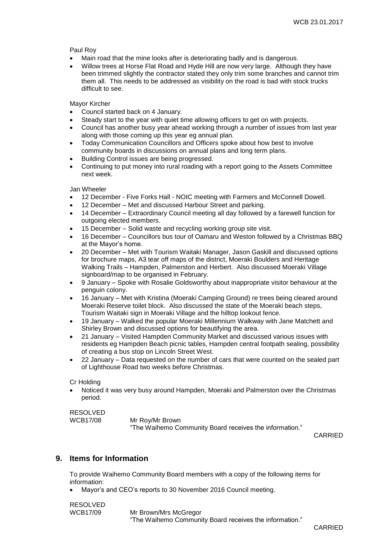Paul Roy

- Main road that the mine looks after is deteriorating badly and is dangerous.
- Willow trees at Horse Flat Road and Hyde Hill are now very large. Although they have been trimmed slightly the contractor stated they only trim some branches and cannot trim them all. This needs to be addressed as visibility on the road is bad with stock trucks difficult to see.

Mayor Kircher

- Council started back on 4 January.
- Steady start to the year with quiet time allowing officers to get on with projects.
- Council has another busy year ahead working through a number of issues from last year along with those coming up this year eg annual plan.
- Today Communication Councillors and Officers spoke about how best to involve community boards in discussions on annual plans and long term plans.
- Building Control issues are being progressed.
- Continuing to put money into rural roading with a report going to the Assets Committee next week.

Jan Wheeler

- 12 December Five Forks Hall NOIC meeting with Farmers and McConnell Dowell.
- 12 December Met and discussed Harbour Street and parking.
- 14 December Extraordinary Council meeting all day followed by a farewell function for outgoing elected members.
- 15 December Solid waste and recycling working group site visit.
- 16 December Councillors bus tour of Oamaru and Weston followed by a Christmas BBQ at the Mayor's home.
- 20 December Met with Tourism Waitaki Manager, Jason Gaskill and discussed options for brochure maps, A3 tear off maps of the district, Moeraki Boulders and Heritage Walking Trails – Hampden, Palmerston and Herbert. Also discussed Moeraki Village signboard/map to be organised in February.
- 9 January Spoke with Rosalie Goldsworthy about inappropriate visitor behaviour at the penguin colony.
- 16 January Met with Kristina (Moeraki Camping Ground) re trees being cleared around Moeraki Reserve toilet block. Also discussed the state of the Moeraki beach steps, Tourism Waitaki sign in Moeraki Village and the hilltop lookout fence.
- 19 January Walked the popular Moeraki Millennium Walkway with Jane Matchett and Shirley Brown and discussed options for beautifying the area.
- 21 January Visited Hampden Community Market and discussed various issues with residents eg Hampden Beach picnic tables, Hampden central footpath sealing, possibility of creating a bus stop on Lincoln Street West.
- 22 January Data requested on the number of cars that were counted on the sealed part of Lighthouse Road two weeks before Christmas.

Cr Holding

 Noticed it was very busy around Hampden, Moeraki and Palmerston over the Christmas period.

RESOLVED

WCB17/08 Mr Roy/Mr Brown "The Waihemo Community Board receives the information."

CARRIED

## **9. Items for Information**

To provide Waihemo Community Board members with a copy of the following items for information:

Mayor's and CEO's reports to 30 November 2016 Council meeting.

| <b>RESOLVED</b> |                                                         |
|-----------------|---------------------------------------------------------|
| WCB17/09        | Mr Brown/Mrs McGregor                                   |
|                 | "The Waihemo Community Board receives the information." |